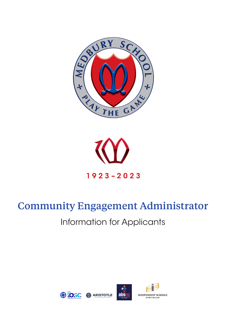



# Community Engagement Administrator

## Information for Applicants

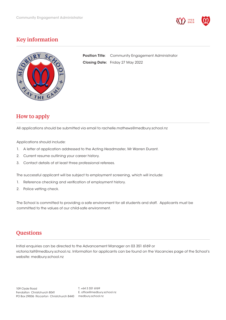

## Key information



Position Title: Community Engagement Administrator Closing Date: Friday 27 May 2022

## How to apply

All applications should be submitted via email to rachelle.mathews@medbury.school.nz

Applications should include:

- 1. A letter of application addressed to the Acting Headmaster, Mr Warren Durant.
- 2. Current resume outlining your career history.
- 3. Contact details of at least three professional referees.

The successful applicant will be subject to employment screening, which will include:

- 1. Reference checking and verification of employment history.
- 2. Police vetting check.

The School is committed to providing a safe environment for all students and staff. Applicants must be committed to the values of our child-safe environment.

## **Questions**

Initial enquiries can be directed to the Advancement Manager on 03 351 6169 or victoria.tait@medbury.school.nz. Information for applicants can be found on the Vacancies page of the School's website: medbury.school.nz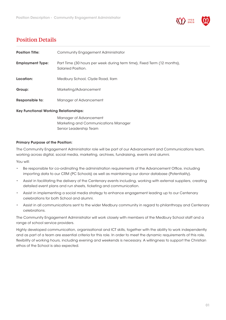

## Position Details

| <b>Position Title:</b>                       | Community Engagement Administrator                                                            |
|----------------------------------------------|-----------------------------------------------------------------------------------------------|
| <b>Employment Type:</b>                      | Part Time (30 hours per week during term time), Fixed Term (12 months),<br>Salaried Position. |
| Location:                                    | Medbury School, Clyde Road, Ilam                                                              |
| Group:                                       | Marketing/Advancement                                                                         |
| Responsible to:                              | Manager of Advancement                                                                        |
| <b>Key Functional Working Relationships:</b> |                                                                                               |

 Manager of Advancement Marketing and Communications Manager Senior Leadership Team

#### Primary Purpose of the Position:

The Community Engagement Administrator role will be part of our Advancement and Communications team, working across digital, social media, marketing, archives, fundraising, events and alumni.

You will:

- Be responsible for co-ordinating the administration requirements of the Advancement Office, including importing data to our CRM (PC Schools) as well as maintaining our donor database (Potentiality).
- Assist in facilitating the delivery of the Centenary events including, working with external suppliers, creating detailed event plans and run sheets, ticketing and communication.
- Assist in implementing a social media strategy to enhance engagement leading up to our Centenary celebrations for both School and alumni.
- Assist in all communications sent to the wider Medbury community in regard to philanthropy and Centenary celebrations.

The Community Engagement Administrator will work closely with members of the Medbury School staff and a range of school service providers.

Highly developed communication, organisational and ICT skills, together with the ability to work independently and as part of a team are essential criteria for this role. In order to meet the dynamic requirements of this role, flexibility of working hours, including evening and weekends is necessary. A willingness to support the Christian ethos of the School is also expected.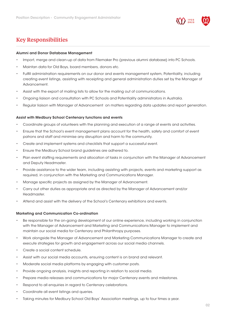

## Key Responsibilities

#### Alumni and Donor Database Management

- Import, merge and clean-up of data from Filemaker Pro (previous alumni database) into PC Schools.
- Maintan data for Old Boys, board members, donors etc.
- Fulfill administration requirements on our donor and events management system, Potentiality, including creating event listings, assisting with receipting and general administration duties set by the Manager of Advancement.
- Assist with the export of mailing lists to allow for the mailing out of communications.
- Ongoing liaison and consultation with PC Schools and Potentiality administrators in Australia.
- Regular liaison with Manager of Advancement on matters regarding data updates and report generation.

#### Assist with Medbury School Centenary functions and events

- Coordinate groups of volunteers with the planning and execution of a range of events and activities.
- Ensure that the School's event management plans account for the health, safety and comfort of event patrons and staff and minimise any disruption and harm to the community.
- Create and implement systems and checklists that support a successful event.
- Ensure the Medbury School brand guidelines are adhered to.
- Plan event staffing requirements and allocation of tasks in conjunction with the Manager of Advancement and Deputy Headmaster.
- Provide assistance to the wider team, including assisting with projects, events and marketing support as required, in conjunction with the Marketing and Communications Manager.
- Manage specific projects as assigned by the Manager of Advancement.
- Carry out other duties as appropriate and as directed by the Manager of Advancement and/or Headmaster.
- Attend and assist with the delivery of the School's Centenary exhibitions and events.

#### Marketing and Communication Co-ordination

- Be responsible for the on-going development of our online experience, including working in conjunction with the Manager of Advancement and Marketing and Communications Manager to implement and maintain our social media for Centenary and Philanthropy purposes.
- Work alongside the Manager of Advancement and Marketing Communications Manager to create and execute strategies for growth and engagement across our social media channels.
- Create a social content schedule.
- Assist with our social media accounts, ensuring content is on brand and relevant.
- Moderate social media platforms by engaging with customer posts.
- Provide ongoing analysis, insights and reporting in relation to social media.
- Prepare media releases and communications for major Centenary events and milestones.
- Respond to all enquiries in regard to Centenary celebrations.
- Coordinate all event listings and queries.
- Taking minutes for Medbury School Old Boys' Association meetings, up to four times a year.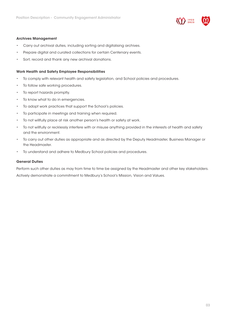

#### Archives Management

- Carry out archival duties, including sorting and digitalising archives.
- Prepare digital and curated collections for certain Centenary events.
- Sort, record and thank any new archival donations.

#### Work Health and Safety Employee Responsibilities

- To comply with relevant health and safety legislation, and School policies and procedures.
- To follow safe working procedures.
- To report hazards promptly.
- To know what to do in emergencies.
- To adopt work practices that support the School's policies.
- To participate in meetings and training when required.
- To not willfully place at risk another person's health or safety at work.
- To not willfully or recklessly interfere with or misuse anything provided in the interests of health and safety and the environment.
- To carry out other duties as appropriate and as directed by the Deputy Headmaster, Business Manager or the Headmaster.
- To understand and adhere to Medbury School policies and procedures.

#### General Duties

Perform such other duties as may from time to time be assigned by the Headmaster and other key stakeholders.

Actively demonstrate a commitment to Medbury's School's Mission, Vision and Values.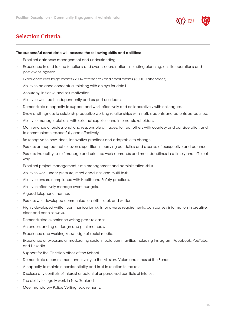

## Selection Criteria:

#### The successful candidate will possess the following skills and abilities:

- Excellent database management and understanding.
- Experience in end to end functions and events coordination, including planning, on site operations and post event logistics.
- Experience with large events (200+ attendees) and small events (30-100 attendees).
- Ability to balance conceptual thinking with an eye for detail.
- Accuracy, initiative and self-motivation.
- Ability to work both independently and as part of a team.
- Demonstrate a capacity to support and work effectively and collaboratively with colleagues.
- Show a willingness to establish productive working relationships with staff, students and parents as required.
- Ability to manage relations with external suppliers and internal stakeholders.
- Maintenance of professional and responsible attitudes, to treat others with courtesy and consideration and to communicate respectfully and effectively.
- Be receptive to new ideas, innovative practices and adaptable to change.
- Possess an approachable, even disposition in carrying out duties and a sense of perspective and balance.
- Possess the ability to self-manage and prioritise work demands and meet deadlines in a timely and efficient way.
- Excellent project management, time management and administration skills.
- Ability to work under pressure, meet deadlines and multi-task.
- Ability to ensure compliance with Health and Safety practices.
- Ability to effectively manage event budgets.
- A good telephone manner.
- Possess well-developed communication skills oral, and written.
- Highly developed written communication skills for diverse requirements, can convey information in creative, clear and concise ways.
- Demonstrated experience writing press releases.
- An understanding of design and print methods.
- Experience and working knowledge of social media.
- Experience or exposure at moderating social media communities including Instagram, Facebook, YouTube, and LinkedIn.
- Support for the Christian ethos of the School.
- Demonstrate a commitment and loyalty to the Mission, Vision and ethos of the School.
- A capacity to maintain confidentiality and trust in relation to the role.
- Disclose any conflicts of interest or potential or perceived conflicts of interest.
- The ability to legally work in New Zealand.
- Meet mandatory Police Vetting requirements.